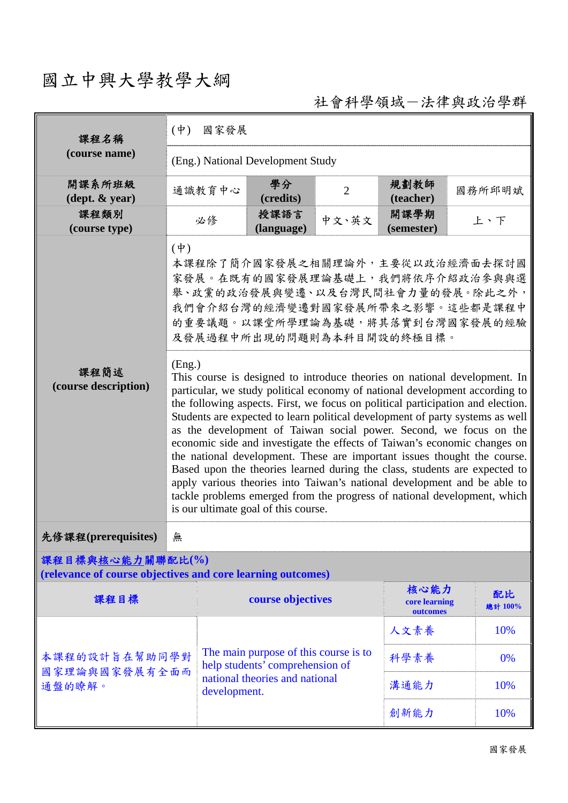## 國立中興大學教學大綱

社會科學領域-法律與政治學群

| 課程名稱                                                                            | $(\dot{\Psi})$<br>國家發展                                                                                                                                                                                                                                                                                                                                                                                                                                                                                                                                                                                                                                                                                                                                                                                                                              |                                                |                                                                          |                |                                   |               |  |
|---------------------------------------------------------------------------------|-----------------------------------------------------------------------------------------------------------------------------------------------------------------------------------------------------------------------------------------------------------------------------------------------------------------------------------------------------------------------------------------------------------------------------------------------------------------------------------------------------------------------------------------------------------------------------------------------------------------------------------------------------------------------------------------------------------------------------------------------------------------------------------------------------------------------------------------------------|------------------------------------------------|--------------------------------------------------------------------------|----------------|-----------------------------------|---------------|--|
| (course name)                                                                   | (Eng.) National Development Study                                                                                                                                                                                                                                                                                                                                                                                                                                                                                                                                                                                                                                                                                                                                                                                                                   |                                                |                                                                          |                |                                   |               |  |
| 開課系所班級<br>$(\text{dept.} \& \text{ year})$                                      |                                                                                                                                                                                                                                                                                                                                                                                                                                                                                                                                                                                                                                                                                                                                                                                                                                                     | 通識教育中心                                         | 學分<br>(credits)                                                          | $\overline{2}$ | 規劃教師<br>(teacher)                 | 國務所邱明斌        |  |
| 課程類別<br>(course type)                                                           |                                                                                                                                                                                                                                                                                                                                                                                                                                                                                                                                                                                                                                                                                                                                                                                                                                                     | 必修                                             | 授課語言<br>(language)                                                       | 中文、英文          | 開課學期<br>(semester)                | 上、下           |  |
|                                                                                 | $(\dagger)$<br>本課程除了簡介國家發展之相關理論外,主要從以政治經濟面去探討國<br>家發展。在既有的國家發展理論基礎上,我們將依序介紹政治參與與選<br>舉、政黨的政治發展與變遷、以及台灣民間社會力量的發展。除此之外,<br>我們會介紹台灣的經濟變遷對國家發展所帶來之影響。這些都是課程中<br>的重要議題。以課堂所學理論為基礎,將其落實到台灣國家發展的經驗<br>及發展過程中所出現的問題則為本科目開設的終極目標。                                                                                                                                                                                                                                                                                                                                                                                                                                                                                                                                                                                                                            |                                                |                                                                          |                |                                   |               |  |
| 課程簡述<br>(course description)                                                    | (Eng.)<br>This course is designed to introduce theories on national development. In<br>particular, we study political economy of national development according to<br>the following aspects. First, we focus on political participation and election.<br>Students are expected to learn political development of party systems as well<br>as the development of Taiwan social power. Second, we focus on the<br>economic side and investigate the effects of Taiwan's economic changes on<br>the national development. These are important issues thought the course.<br>Based upon the theories learned during the class, students are expected to<br>apply various theories into Taiwan's national development and be able to<br>tackle problems emerged from the progress of national development, which<br>is our ultimate goal of this course. |                                                |                                                                          |                |                                   |               |  |
| 先修課程(prerequisites)                                                             | 無                                                                                                                                                                                                                                                                                                                                                                                                                                                                                                                                                                                                                                                                                                                                                                                                                                                   |                                                |                                                                          |                |                                   |               |  |
| 課程目標與核心能力關聯配比(%)<br>(relevance of course objectives and core learning outcomes) |                                                                                                                                                                                                                                                                                                                                                                                                                                                                                                                                                                                                                                                                                                                                                                                                                                                     |                                                |                                                                          |                |                                   |               |  |
| 課程目標                                                                            |                                                                                                                                                                                                                                                                                                                                                                                                                                                                                                                                                                                                                                                                                                                                                                                                                                                     |                                                | course objectives                                                        |                | 核心能力<br>core learning<br>outcomes | 配比<br>總計 100% |  |
|                                                                                 |                                                                                                                                                                                                                                                                                                                                                                                                                                                                                                                                                                                                                                                                                                                                                                                                                                                     |                                                |                                                                          |                | 人文素養                              | 10%           |  |
| 本課程的設計旨在幫助同學對                                                                   |                                                                                                                                                                                                                                                                                                                                                                                                                                                                                                                                                                                                                                                                                                                                                                                                                                                     |                                                | The main purpose of this course is to<br>help students' comprehension of |                | 科學素養                              | 0%            |  |
| 國家理論與國家發展有全面而<br>通盤的瞭解。                                                         |                                                                                                                                                                                                                                                                                                                                                                                                                                                                                                                                                                                                                                                                                                                                                                                                                                                     | national theories and national<br>development. |                                                                          | 溝通能力           | 10%                               |               |  |
|                                                                                 |                                                                                                                                                                                                                                                                                                                                                                                                                                                                                                                                                                                                                                                                                                                                                                                                                                                     |                                                |                                                                          |                | 創新能力                              | 10%           |  |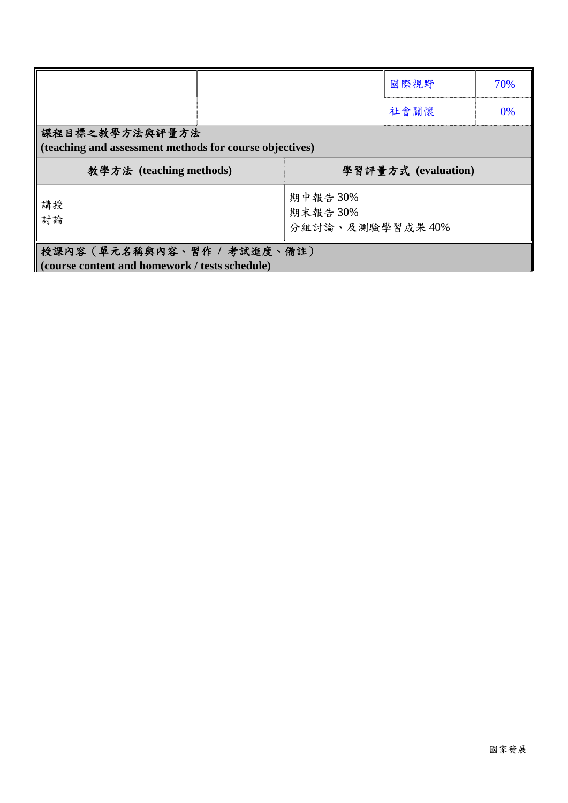|                                                                           |                                         | 國際視野                | 70% |
|---------------------------------------------------------------------------|-----------------------------------------|---------------------|-----|
|                                                                           |                                         | 社會關懷                | 0%  |
| 課程目標之教學方法與評量方法<br>(teaching and assessment methods for course objectives) |                                         |                     |     |
| 教學方法 (teaching methods)                                                   |                                         | 學習評量方式 (evaluation) |     |
| 講授<br>討論                                                                  | 期中報告 30%<br>期末報告 30%<br>分組討論、及測驗學習成果40% |                     |     |
| 授課內容 (單元名稱與內容、習作 / 考試進度、備註)                                               |                                         |                     |     |
| (course content and homework / tests schedule)                            |                                         |                     |     |